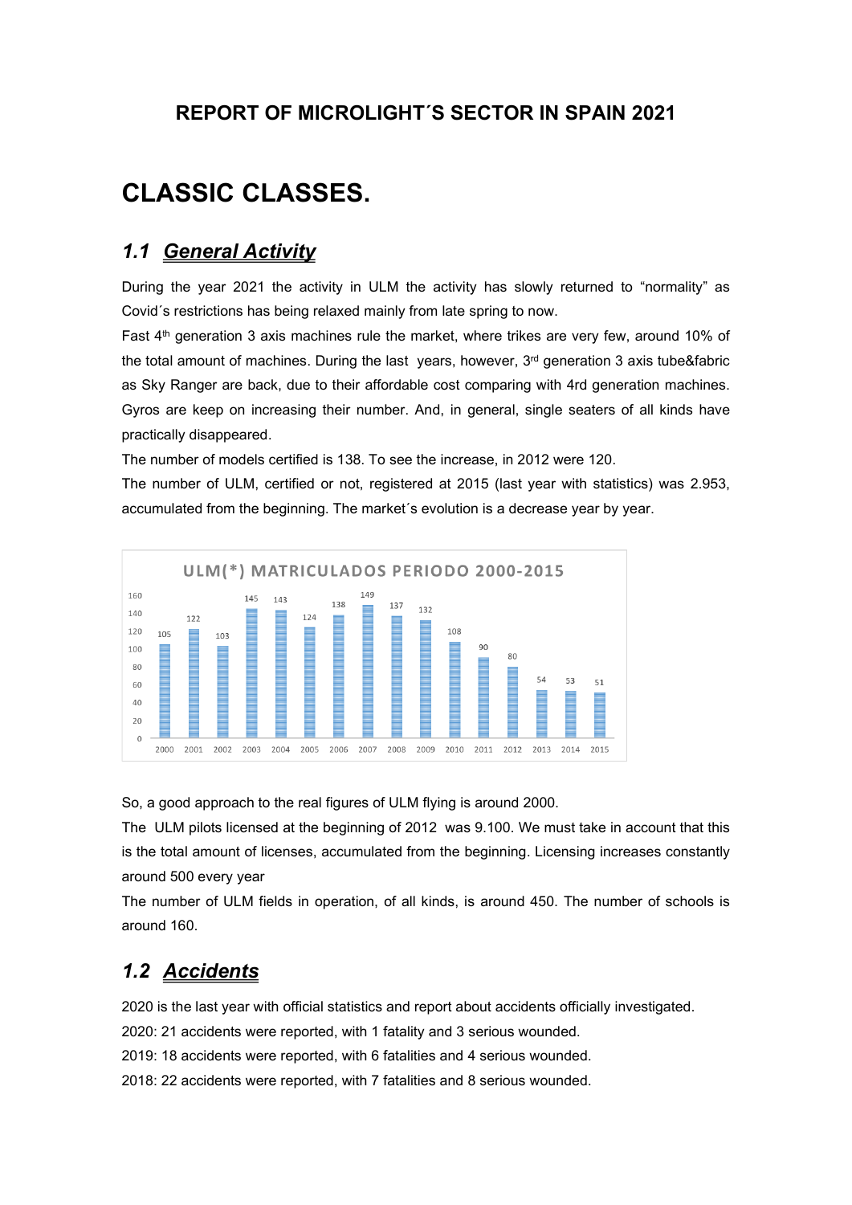## REPORT OF MICROLIGHT´S SECTOR IN SPAIN 2021

# CLASSIC CLASSES.

## 1.1 **General Activity**

During the year 2021 the activity in ULM the activity has slowly returned to "normality" as Covid´s restrictions has being relaxed mainly from late spring to now.

Fast 4<sup>th</sup> generation 3 axis machines rule the market, where trikes are very few, around 10% of the total amount of machines. During the last years, however, 3<sup>rd</sup> generation 3 axis tube&fabric as Sky Ranger are back, due to their affordable cost comparing with 4rd generation machines. Gyros are keep on increasing their number. And, in general, single seaters of all kinds have practically disappeared.

The number of models certified is 138. To see the increase, in 2012 were 120.

The number of ULM, certified or not, registered at 2015 (last year with statistics) was 2.953, accumulated from the beginning. The market's evolution is a decrease year by year.



So, a good approach to the real figures of ULM flying is around 2000.

The ULM pilots licensed at the beginning of 2012 was 9.100. We must take in account that this is the total amount of licenses, accumulated from the beginning. Licensing increases constantly around 500 every year

The number of ULM fields in operation, of all kinds, is around 450. The number of schools is around 160.

# 1.2 Accidents

2020 is the last year with official statistics and report about accidents officially investigated.

2020: 21 accidents were reported, with 1 fatality and 3 serious wounded.

2019: 18 accidents were reported, with 6 fatalities and 4 serious wounded.

2018: 22 accidents were reported, with 7 fatalities and 8 serious wounded.